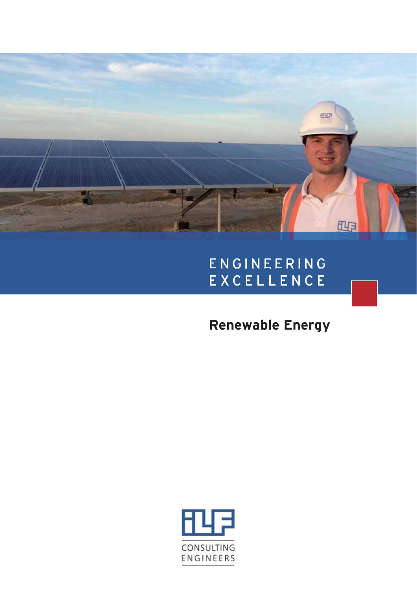

## ENGINEERING EXCELLENCE

**Renewable Energy**

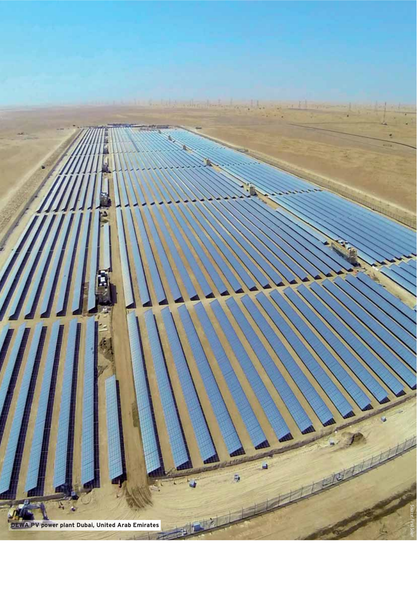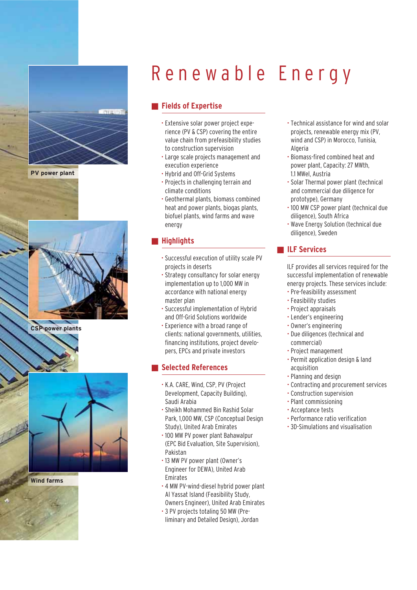

**PV power plant**



**CSP power plants**



**Wind farms**

# Renewable Energy

## **Fields of Expertise**

- Extensive solar power project experience (PV & CSP) covering the entire value chain from prefeasibility studies to construction supervision
- Large scale projects management and execution experience
- Hybrid and Off-Grid Systems
- Projects in challenging terrain and climate conditions
- Geothermal plants, biomass combined heat and power plants, biogas plants, biofuel plants, wind farms and wave energy

#### -**Highlights**

- Successful execution of utility scale PV projects in deserts
- Strategy consultancy for solar energy implementation up to 1,000 MW in accordance with national energy master plan
- Successful implementation of Hybrid and Off-Grid Solutions worldwide
- Experience with a broad range of clients: national governments, utilities, financing institutions, project developers, EPCs and private investors

#### -**Selected References**

- K.A. CARE, Wind, CSP, PV (Project Development, Capacity Building), Saudi Arabia
- Sheikh Mohammed Bin Rashid Solar Park, 1,000 MW, CSP (Conceptual Design Study), United Arab Emirates
- 100 MW PV power plant Bahawalpur (EPC Bid Evaluation, Site Supervision), Pakistan
- 13 MW PV power plant (Owner's Engineer for DEWA), United Arab Emirates
- 4 MW PV-wind-diesel hybrid power plant Al Yassat Island (Feasibility Study, Owners Engineer), United Arab Emirates
- 3 PV projects totaling 50 MW (Preliminary and Detailed Design), Jordan
- Technical assistance for wind and solar projects, renewable energy mix (PV, wind and CSP) in Morocco, Tunisia, Algeria
- Biomass-fired combined heat and power plant, Capacity: 27 MWth, 1.1 MWel, Austria
- Solar Thermal power plant (technical and commercial due diligence for prototype), Germany
- 100 MW CSP power plant (technical due diligence), South Africa
- Wave Energy Solution (technical due diligence), Sweden

### **Expanding ILF Services**

 ILF provides all services required for the successful implementation of renewable energy projects. These services include:

- Pre-feasibility assessment
- Feasibility studies
- Project appraisals
- Lender's engineering
- Owner's engineering
- Due diligences (technical and commercial)
- Project management
- Permit application design & land acquisition
- Planning and design
- Contracting and procurement services
- Construction supervision
- Plant commissioning
- Acceptance tests
- Performance ratio verification
- 3D-Simulations and visualisation